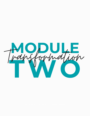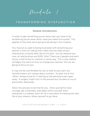Module 2

### T R A N S F O R M I N G D Y S F U N C T I O N

### **Module Introduction**

In order to get something you've never had, you have to do something you've never done. Have you heard this quote? This applies to the work we're going to be doing in this module.

You may be so used to being frustrated with everything your partner is and isn't doing that it feels like the state of your relationship currently feels like all his fault. Let me reassure you now, all relationships are 50/50. Why? There are 2 people and each of you is half of the co-creation in some way. This is why, before we begin the work on how to change your partner, first we are going to focus on you.

It may not be comfortable for you to look at your part, but transformation isn't always about comfort. At least not at first. What I always strive for is healing so the persistent pain goes away. A surgery might hurt in the process but aliviates so much discomfort afterwards.

Allow this process to be that for you. Allow yourself to have courage, get vulnerable, look deep within yourself. Each awareness is a release. Each ah-ha is one piece of creating the love life of your dreams. Allow yourself to go there.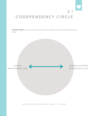# 2 .1 CODEPENDENCY CIRCLE

**INSTRUCTIONS**: Fill in the circle in all the ways you and your romantic partner fit the roles below.

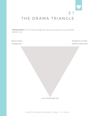# 2 .1 THE DRAMA TRIANGLE

**INSTRUCTIONS**: Fill in the drama triangle with names and ways each of you fulfill that particular role.

# RESCUER/ ENABLER PERSECUTOR/ PERPETRATOR

VICTIM/MARTYR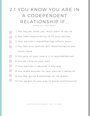# 2.1 YOU KNOW YOU ARE IN A CODEPENDENT RELATIONSHIP IF... CHECK ALL THAT APPLY

1. You say yes when you really want to say no 2. You take responsibility to fix your partner 3. Your partner's mood/feelings affects yours 4. You fear your partner will leave/fantasize you could leave 5. You give all your love & it is rejected/denied You do little on your own 6. 7. Your partner is abusive in any way 8. You make excuses for your partner's behavior 9. You feel guilty & ashamed for no reason 10. You go out of your way to avoid confrontation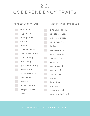## 2.2.

# CODEPENDENCY TRAITS

### PERSECTUTOR/VILLAN VICTIM/MARTYR/RESCUER

| defensive       | give until angry  |
|-----------------|-------------------|
| aggressive      | people pleases    |
| manipulative    | makes excuses     |
| selfish         | can't receive     |
| defiant         | deflects          |
| authoritarian   | obsesses over     |
| confrontational | others needs      |
| controlling     | submissive        |
| belittling      | powerless         |
| guilt producing | complacent        |
| don't take      | compliant         |
| responsibility  | withdrawn         |
| obsessive       | needy             |
| hostile         | don't trust       |
| disagreeable    | feel guilty       |
| projects onto   | takes care of     |
| others          | everyone but self |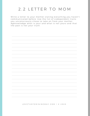# 2.2 LETTER TO MOM

Write a letter to your mother stating everything you haven't communicated before. Use the list of codependent traits you unconsciously chose to take on from your mother. Agknowledge what is your and what is not yours and that the past is not your truth.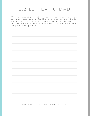# 2.2 LETTER TO DAD

Write a letter to your father stating everything you haven't communicated before. Use the list of codependent traits you unconsciously chose to take on from your father. Agknowledge what is your and what is not yours and that the past is not your truth.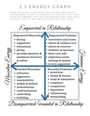# 2 . 3 E N E R G Y G R A P H

Study the graph as you follow the training video. Ues a colored pencil or pen to underline the traits you have. Then circle (or highlight) the traits you desire to have. Now use a different color for your partner and do the same thing.

|                                                                                                                                                                 | Empowered in Relationship                                                                                                                                                                                        |
|-----------------------------------------------------------------------------------------------------------------------------------------------------------------|------------------------------------------------------------------------------------------------------------------------------------------------------------------------------------------------------------------|
| <b>Empowered Masculine</b><br>$\bullet$ Strong<br>supportive<br>intentional<br>giving<br>provides physical &<br>emotional structure<br>& safety                 | Empowered Feminine<br>surrenders and trusts<br>shines & radiates love<br>allows & receives<br>$\bullet$ intuitive & spacious<br>• feels very safe<br>expresses needs,<br>feelings & desires<br>is very supported |
| <b>Wounded Masculine</b><br>• defensive<br>aggressive<br>manipulative<br>selfish & defiant<br>authoritarian<br>confrontational<br>• controlling<br>• belittling | <b>Wounded Feminine</b><br>powerless<br>· victim & martyr<br>$\bullet\,$ weak & submissive<br>$\bullet$ compliant<br>$\bullet$ complacent<br>$\bullet$ dependent<br>withdrawing<br>withholding                   |

Disempowered/wounded in Relationship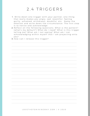# 2.4 TRIGGERS

- 1. Write down one trigger with your partner; one thing that really makes you angry, sad, resentful, feeling guilty, ashamed, withdrawn, doubtful, etc. Name the emotion and write down the circumstance. The first step is to notice and acknowledge.
- 2. Reflect on the following questions: What is the pattern? (what's my default?) What do I need? What is this trigger telling me? What am I not seeing? What am I not acknowledging within myself that I am projecting onto y o u ?
- 3. How can I release this trigger?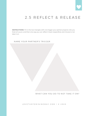# 2.5 REFLECT & RELEASE

**INSTRUCTIONS**: Fill in the two triangles with one trigger your partner projects onto you that isn't yours, and then one way you can reflect it back respectfully and choose to not take it on.

NAME YOUR PARTNER'S TRIGGER

WHAT CAN YOU DO TO NOT TAKE IT ON?